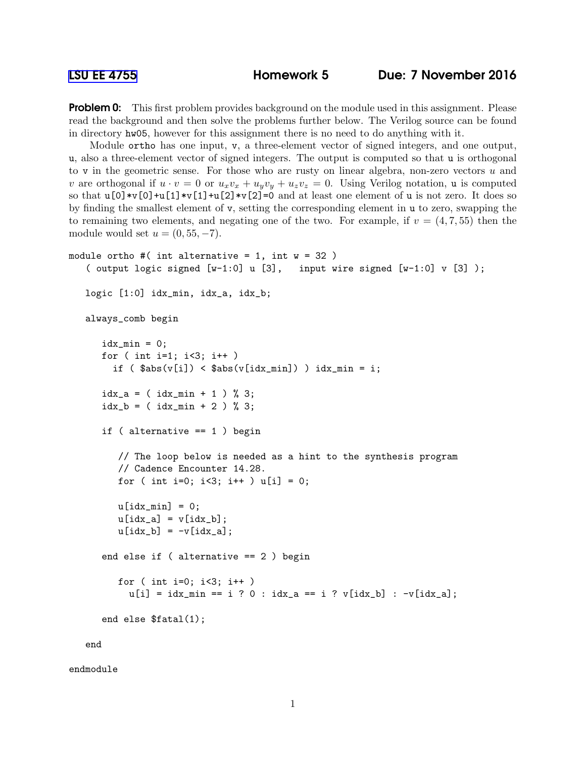[LSU EE 4755](http://www.ece.lsu.edu/koppel/v/) Homework 5 Due: 7 November 2016

**Problem 0:** This first problem provides background on the module used in this assignment. Please read the background and then solve the problems further below. The Verilog source can be found in directory hw05, however for this assignment there is no need to do anything with it.

Module ortho has one input, v, a three-element vector of signed integers, and one output, u, also a three-element vector of signed integers. The output is computed so that u is orthogonal to v in the geometric sense. For those who are rusty on linear algebra, non-zero vectors  $u$  and v are orthogonal if  $u \cdot v = 0$  or  $u_xv_x + u_yv_y + u_zv_z = 0$ . Using Verilog notation, u is computed so that  $u[0]*v[0]+u[1]*v[1]+u[2]*v[2]=0$  and at least one element of u is not zero. It does so by finding the smallest element of v, setting the corresponding element in u to zero, swapping the to remaining two elements, and negating one of the two. For example, if  $v = (4, 7, 55)$  then the module would set  $u = (0, 55, -7)$ .

```
module ortho #( int alternative = 1, int w = 32 )
 ( output logic signed [w-1:0] u [3], input wire signed [w-1:0] v [3]);
logic [1:0] idx_min, idx_a, idx_b;
always_comb begin
    idx\_min = 0;for ( int i=1; i<3; i++ )
      if (\$abs(v[i]) < $abs(v[idx\_min]) ) idx_min = i;
    idx_a = (idx\_min + 1) % 3;idx_b = (idx\_min + 2) % 3;if ( alternative == 1 ) begin
       // The loop below is needed as a hint to the synthesis program
       // Cadence Encounter 14.28.
       for ( int i=0; i<3; i++ ) u[i] = 0;
       u[idx_min] = 0;
       u[idx_a] = v[idx_b];u[idx_b] = -v[idx_a];end else if ( alternative == 2 ) begin
       for ( int i=0; i<3; i++ )
         u[i] = i dx_{min} == i ? 0 : i dx_{i} == i ? v[i dx_{i}] : -v[i dx_{i} ];end else $fatal(1);
 end
```
endmodule